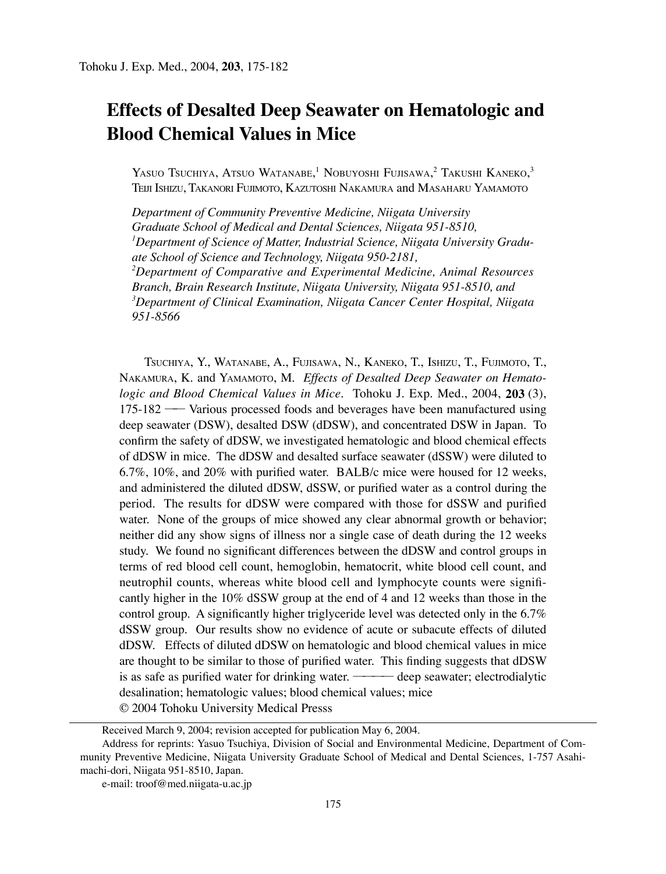# **Effects of Desalted Deep Seawater on Hematologic and Blood Chemical Values in Mice**

Yasuo Tsuchiya, Atsuo Watanabe,<sup>1</sup> Nobuyoshi Fujisawa,<sup>2</sup> Takushi Kaneko,<sup>3</sup> TEIJI ISHIZU, TAKANORI FUJIMOTO, KAZUTOSHI NAKAMURA and MASAHARU YAMAMOTO

*Department of Community Preventive Medicine, Niigata University Graduate School of Medical and Dental Sciences, Niigata 951-8510, 1 Department of Science of Matter, Industrial Science, Niigata University Graduate School of Science and Technology, Niigata 950-2181, 2 Department of Comparative and Experimental Medicine, Animal Resources Branch, Brain Research Institute, Niigata University, Niigata 951-8510, and 3 Department of Clinical Examination, Niigata Cancer Center Hospital, Niigata 951-8566*

TSUCHIYA, Y., WATANABE, A., FUJISAWA, N., KANEKO, T., ISHIZU, T., FUJIMOTO, T., NAKAMURA, K. and YAMAMOTO, M. *Effects of Desalted Deep Seawater on Hematologic and Blood Chemical Values in Mice.* Tohoku J. Exp. Med., 2004, **203** (3), 175-182 ── Various processed foods and beverages have been manufactured using deep seawater (DSW), desalted DSW (dDSW), and concentrated DSW in Japan. To confirm the safety of dDSW, we investigated hematologic and blood chemical effects of dDSW in mice. The dDSW and desalted surface seawater (dSSW) were diluted to 6.7%, 10%, and 20% with purified water. BALB/c mice were housed for 12 weeks, and administered the diluted dDSW, dSSW, or purified water as a control during the period. The results for dDSW were compared with those for dSSW and purified water. None of the groups of mice showed any clear abnormal growth or behavior; neither did any show signs of illness nor a single case of death during the 12 weeks study. We found no significant differences between the dDSW and control groups in terms of red blood cell count, hemoglobin, hematocrit, white blood cell count, and neutrophil counts, whereas white blood cell and lymphocyte counts were significantly higher in the 10% dSSW group at the end of 4 and 12 weeks than those in the control group. A significantly higher triglyceride level was detected only in the 6.7% dSSW group. Our results show no evidence of acute or subacute effects of diluted dDSW. Effects of diluted dDSW on hematologic and blood chemical values in mice are thought to be similar to those of purified water. This finding suggests that dDSW is as safe as purified water for drinking water. ———— deep seawater; electrodialytic desalination; hematologic values; blood chemical values; mice © 2004 Tohoku University Medical Presss

Received March 9, 2004; revision accepted for publication May 6, 2004.

Address for reprints: Yasuo Tsuchiya, Division of Social and Environmental Medicine, Department of Community Preventive Medicine, Niigata University Graduate School of Medical and Dental Sciences, 1-757 Asahimachi-dori, Niigata 951-8510, Japan.

e-mail: troof@med.niigata-u.ac.jp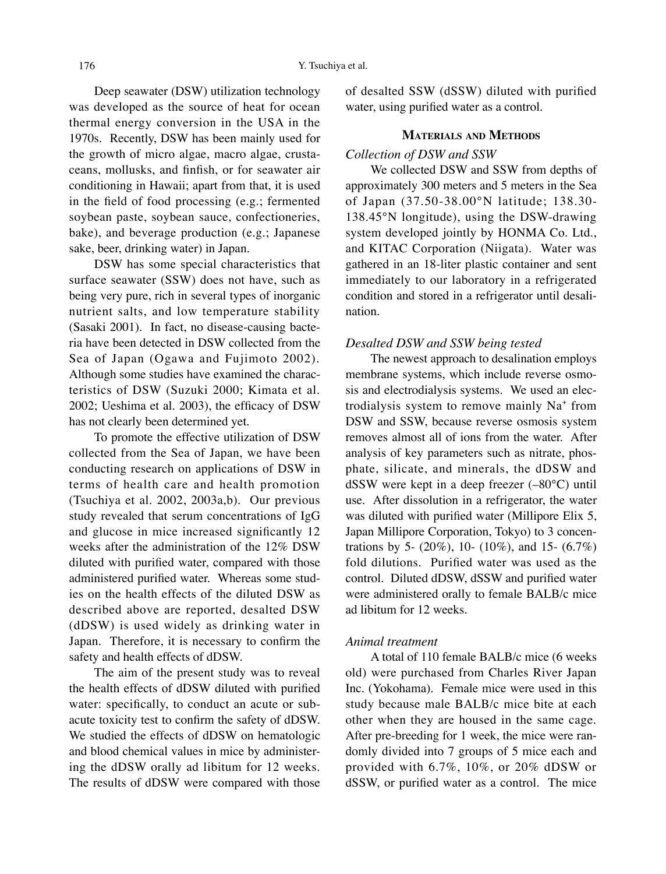Deep seawater (DSW) utilization technology was developed as the source of heat for ocean thermal energy conversion in the USA in the 1970s. Recently, DSW has been mainly used for the growth of micro algae, macro algae, crustaceans, mollusks, and finfish, or for seawater air conditioning in Hawaii; apart from that, it is used in the field of food processing (e.g.; fermented soybean paste, soybean sauce, confectioneries, bake), and beverage production (e.g.; Japanese sake, beer, drinking water) in Japan.

DSW has some special characteristics that surface seawater (SSW) does not have, such as being very pure, rich in several types of inorganic nutrient salts, and low temperature stability (Sasaki 2001). In fact, no disease-causing bacteria have been detected in DSW collected from the Sea of Japan (Ogawa and Fujimoto 2002). Although some studies have examined the characteristics of DSW (Suzuki 2000; Kimata et al. 2002; Ueshima et al. 2003), the efficacy of DSW has not clearly been determined yet.

To promote the effective utilization of DSW collected from the Sea of Japan, we have been conducting research on applications of DSW in terms of health care and health promotion (Tsuchiya et al. 2002, 2003a,b). Our previous study revealed that serum concentrations of IgG and glucose in mice increased significantly 12 weeks after the administration of the 12% DSW diluted with purified water, compared with those administered purified water. Whereas some studies on the health effects of the diluted DSW as described above are reported, desalted DSW (dDSW) is used widely as drinking water in Japan. Therefore, it is necessary to confirm the safety and health effects of dDSW.

The aim of the present study was to reveal the health effects of dDSW diluted with purified water: specifically, to conduct an acute or subacute toxicity test to confirm the safety of dDSW. We studied the effects of dDSW on hematologic and blood chemical values in mice by administering the dDSW orally ad libitum for 12 weeks. The results of dDSW were compared with those of desalted SSW (dSSW) diluted with purified water, using purified water as a control.

## **MATERIALS AND METHODS**

## *Collection of DSW and SSW*

We collected DSW and SSW from depths of approximately 300 meters and 5 meters in the Sea of Japan (37.50-38.00°N latitude; 138.30- 138.45°N longitude), using the DSW-drawing system developed jointly by HONMA Co. Ltd., and KITAC Corporation (Niigata). Water was gathered in an 18-liter plastic container and sent immediately to our laboratory in a refrigerated condition and stored in a refrigerator until desalination.

## *Desalted DSW and SSW being tested*

The newest approach to desalination employs membrane systems, which include reverse osmosis and electrodialysis systems. We used an electrodialysis system to remove mainly Na<sup>+</sup> from DSW and SSW, because reverse osmosis system removes almost all of ions from the water. After analysis of key parameters such as nitrate, phosphate, silicate, and minerals, the dDSW and dSSW were kept in a deep freezer (–80°C) until use. After dissolution in a refrigerator, the water was diluted with purified water (Millipore Elix 5, Japan Millipore Corporation, Tokyo) to 3 concentrations by 5-  $(20\%)$ , 10-  $(10\%)$ , and 15-  $(6.7\%)$ fold dilutions. Purified water was used as the control. Diluted dDSW, dSSW and purified water were administered orally to female BALB/c mice ad libitum for 12 weeks.

## *Animal treatment*

A total of 110 female BALB/c mice (6 weeks old) were purchased from Charles River Japan Inc. (Yokohama). Female mice were used in this study because male BALB/c mice bite at each other when they are housed in the same cage. After pre-breeding for 1 week, the mice were randomly divided into 7 groups of 5 mice each and provided with 6.7%, 10%, or 20% dDSW or dSSW, or purified water as a control. The mice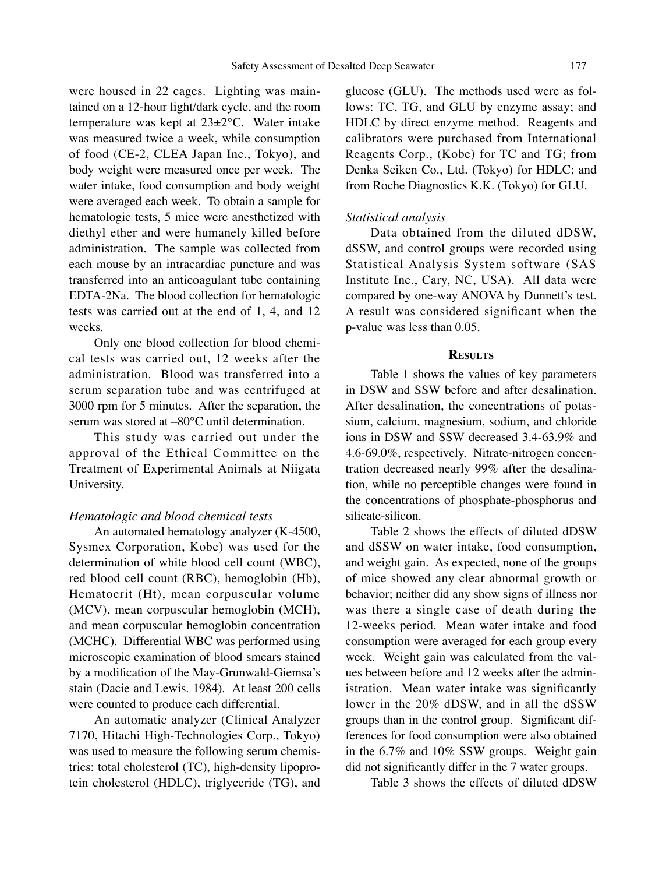were housed in 22 cages. Lighting was maintained on a 12-hour light/dark cycle, and the room temperature was kept at 23±2°C. Water intake was measured twice a week, while consumption of food (CE-2, CLEA Japan Inc., Tokyo), and body weight were measured once per week. The water intake, food consumption and body weight were averaged each week. To obtain a sample for hematologic tests, 5 mice were anesthetized with diethyl ether and were humanely killed before administration. The sample was collected from each mouse by an intracardiac puncture and was transferred into an anticoagulant tube containing EDTA-2Na. The blood collection for hematologic tests was carried out at the end of 1, 4, and 12 weeks.

Only one blood collection for blood chemical tests was carried out, 12 weeks after the administration. Blood was transferred into a serum separation tube and was centrifuged at 3000 rpm for 5 minutes. After the separation, the serum was stored at –80°C until determination.

This study was carried out under the approval of the Ethical Committee on the Treatment of Experimental Animals at Niigata University.

#### *Hematologic and blood chemical tests*

An automated hematology analyzer (K-4500, Sysmex Corporation, Kobe) was used for the determination of white blood cell count (WBC), red blood cell count (RBC), hemoglobin (Hb), Hematocrit (Ht), mean corpuscular volume (MCV), mean corpuscular hemoglobin (MCH), and mean corpuscular hemoglobin concentration (MCHC). Differential WBC was performed using microscopic examination of blood smears stained by a modification of the May-Grunwald-Giemsa's stain (Dacie and Lewis. 1984). At least 200 cells were counted to produce each differential.

An automatic analyzer (Clinical Analyzer 7170, Hitachi High-Technologies Corp., Tokyo) was used to measure the following serum chemistries: total cholesterol (TC), high-density lipoprotein cholesterol (HDLC), triglyceride (TG), and glucose (GLU). The methods used were as follows: TC, TG, and GLU by enzyme assay; and HDLC by direct enzyme method. Reagents and calibrators were purchased from International Reagents Corp., (Kobe) for TC and TG; from Denka Seiken Co., Ltd. (Tokyo) for HDLC; and from Roche Diagnostics K.K. (Tokyo) for GLU.

### *Statistical analysis*

Data obtained from the diluted dDSW, dSSW, and control groups were recorded using Statistical Analysis System software (SAS Institute Inc., Cary, NC, USA). All data were compared by one-way ANOVA by Dunnett's test. A result was considered significant when the p-value was less than 0.05.

#### **RESULTS**

Table 1 shows the values of key parameters in DSW and SSW before and after desalination. After desalination, the concentrations of potassium, calcium, magnesium, sodium, and chloride ions in DSW and SSW decreased 3.4-63.9% and 4.6-69.0%, respectively. Nitrate-nitrogen concentration decreased nearly 99% after the desalination, while no perceptible changes were found in the concentrations of phosphate-phosphorus and silicate-silicon.

Table 2 shows the effects of diluted dDSW and dSSW on water intake, food consumption, and weight gain. As expected, none of the groups of mice showed any clear abnormal growth or behavior; neither did any show signs of illness nor was there a single case of death during the 12-weeks period. Mean water intake and food consumption were averaged for each group every week. Weight gain was calculated from the values between before and 12 weeks after the administration. Mean water intake was significantly lower in the 20% dDSW, and in all the dSSW groups than in the control group. Significant differences for food consumption were also obtained in the 6.7% and 10% SSW groups. Weight gain did not significantly differ in the 7 water groups.

Table 3 shows the effects of diluted dDSW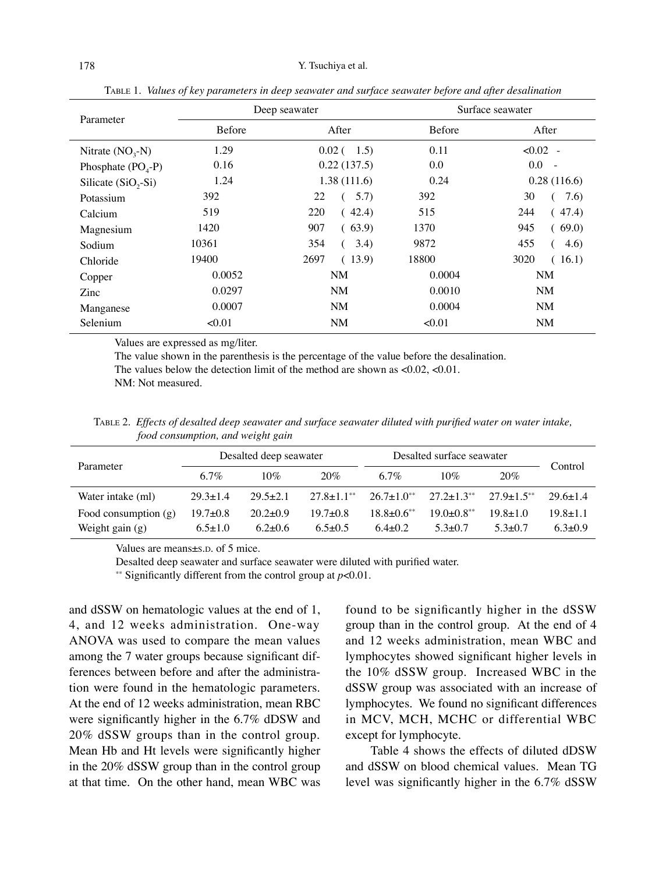|                      |               | Deep seawater    | Surface seawater |                |  |
|----------------------|---------------|------------------|------------------|----------------|--|
| Parameter            | <b>Before</b> | After            | Before           | After          |  |
| Nitrate $(NO3-N)$    | 1.29          | $0.02(-1.5)$     | 0.11             | $<0.02$ -      |  |
| Phosphate $(POA-P)$  | 0.16          | 0.22(137.5)      | 0.0              | 0.0<br>$\sim$  |  |
| Silicate $(SiO2-Si)$ | 1.24          | 1.38(111.6)      | 0.24             | 0.28(116.6)    |  |
| Potassium            | 392           | 22<br>5.7)       | 392              | 30<br>7.6      |  |
| Calcium              | 519           | (42.4)<br>220    | 515              | 244<br>47.4)   |  |
| Magnesium            | 1420          | 907<br>(63.9)    | 1370             | 945<br>(69.0)  |  |
| Sodium               | 10361         | 3.4)<br>354<br>( | 9872             | 455<br>4.6)    |  |
| Chloride             | 19400         | 2697<br>(13.9)   | 18800            | 3020<br>(16.1) |  |
| Copper               | 0.0052        | <b>NM</b>        | 0.0004           | <b>NM</b>      |  |
| Zinc                 | 0.0297        | NM               | 0.0010           | NM             |  |
| Manganese            | 0.0007        | <b>NM</b>        | 0.0004           | NM             |  |
| Selenium             | < 0.01        | NM               | < 0.01           | <b>NM</b>      |  |

TABLE 1. *Values of key parameters in deep seawater and surface seawater before and after desalination*

Values are expressed as mg/liter.

The value shown in the parenthesis is the percentage of the value before the desalination.

The values below the detection limit of the method are shown as <0.02, <0.01.

NM: Not measured.

TABLE 2. *Effects of desalted deep seawater and surface seawater diluted with purified water on water intake, food consumption, and weight gain*

| Parameter              | Desalted deep seawater |                |                            | Desalted surface seawater |                            |                 |                |
|------------------------|------------------------|----------------|----------------------------|---------------------------|----------------------------|-----------------|----------------|
|                        | 6.7%                   | 10%            | 20%                        | 6.7%                      | 10%                        | 20%             | Control        |
| Water intake (ml)      | $29.3 \pm 1.4$         | $29.5 \pm 2.1$ | $27.8 + 1.1$ <sup>**</sup> | $26.7+1.0^{**}$           | $27.2+1.3**$               | $27.9 + 1.5$ ** | $29.6 + 1.4$   |
| Food consumption $(g)$ | $19.7 \pm 0.8$         | $20.2 \pm 0.9$ | $19.7 + 0.8$               | $18.8 \pm 0.6$ **         | $19.0 + 0.8$ <sup>**</sup> | $19.8 + 1.0$    | $19.8 \pm 1.1$ |
| Weight gain $(g)$      | $6.5 \pm 1.0$          | $6.2 \pm 0.6$  | $6.5 + 0.5$                | $6.4 + 0.2$               | $5.3 + 0.7$                | $5.3 + 0.7$     | $6.3 \pm 0.9$  |

Values are means±S.D. of 5 mice.

Desalted deep seawater and surface seawater were diluted with purified water.

\*\* Significantly different from the control group at *p*<0.01.

and dSSW on hematologic values at the end of 1, 4, and 12 weeks administration. One-way ANOVA was used to compare the mean values among the 7 water groups because significant differences between before and after the administration were found in the hematologic parameters. At the end of 12 weeks administration, mean RBC were significantly higher in the 6.7% dDSW and 20% dSSW groups than in the control group. Mean Hb and Ht levels were significantly higher in the 20% dSSW group than in the control group at that time. On the other hand, mean WBC was found to be significantly higher in the dSSW group than in the control group. At the end of 4 and 12 weeks administration, mean WBC and lymphocytes showed significant higher levels in the 10% dSSW group. Increased WBC in the dSSW group was associated with an increase of lymphocytes. We found no significant differences in MCV, MCH, MCHC or differential WBC except for lymphocyte.

Table 4 shows the effects of diluted dDSW and dSSW on blood chemical values. Mean TG level was significantly higher in the 6.7% dSSW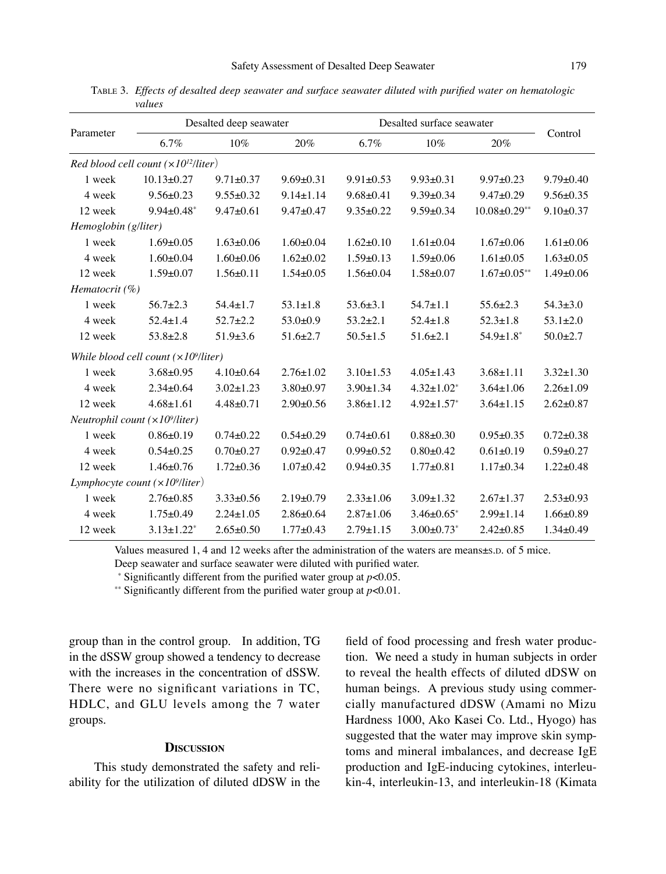| Parameter                                     | Desalted deep seawater                         |                 |                 | Desalted surface seawater |                   |                    |                 |  |
|-----------------------------------------------|------------------------------------------------|-----------------|-----------------|---------------------------|-------------------|--------------------|-----------------|--|
|                                               | 6.7%                                           | 10%             | 20%             | 6.7%                      | $10\%$            | 20%                | Control         |  |
|                                               | Red blood cell count $(\times 10^{12}/$ liter) |                 |                 |                           |                   |                    |                 |  |
| 1 week                                        | $10.13 \pm 0.27$                               | $9.71 \pm 0.37$ | $9.69 \pm 0.31$ | $9.91 \pm 0.53$           | $9.93 \pm 0.31$   | $9.97 \pm 0.23$    | $9.79 \pm 0.40$ |  |
| 4 week                                        | $9.56 \pm 0.23$                                | $9.55 \pm 0.32$ | $9.14 \pm 1.14$ | $9.68 \pm 0.41$           | $9.39 \pm 0.34$   | $9.47 \pm 0.29$    | $9.56 \pm 0.35$ |  |
| 12 week                                       | $9.94 \pm 0.48$ *                              | $9.47 \pm 0.61$ | $9.47 \pm 0.47$ | $9.35 \pm 0.22$           | $9.59 \pm 0.34$   | $10.08 \pm 0.29**$ | $9.10 \pm 0.37$ |  |
| Hemoglobin (g/liter)                          |                                                |                 |                 |                           |                   |                    |                 |  |
| 1 week                                        | $1.69 \pm 0.05$                                | $1.63 \pm 0.06$ | $1.60 \pm 0.04$ | $1.62 \pm 0.10$           | $1.61 \pm 0.04$   | $1.67 \pm 0.06$    | $1.61 \pm 0.06$ |  |
| 4 week                                        | $1.60 \pm 0.04$                                | $1.60 \pm 0.06$ | $1.62 \pm 0.02$ | $1.59 \pm 0.13$           | $1.59 \pm 0.06$   | $1.61 \pm 0.05$    | $1.63 \pm 0.05$ |  |
| 12 week                                       | $1.59 \pm 0.07$                                | $1.56 \pm 0.11$ | $1.54 \pm 0.05$ | $1.56 \pm 0.04$           | $1.58 + 0.07$     | $1.67 \pm 0.05**$  | $1.49 \pm 0.06$ |  |
| Hematocrit (%)                                |                                                |                 |                 |                           |                   |                    |                 |  |
| 1 week                                        | $56.7 \pm 2.3$                                 | $54.4 \pm 1.7$  | $53.1 \pm 1.8$  | $53.6 \pm 3.1$            | $54.7 \pm 1.1$    | $55.6 \pm 2.3$     | $54.3 \pm 3.0$  |  |
| 4 week                                        | $52.4 \pm 1.4$                                 | $52.7 \pm 2.2$  | $53.0+0.9$      | $53.2 \pm 2.1$            | $52.4 \pm 1.8$    | $52.3 \pm 1.8$     | $53.1 \pm 2.0$  |  |
| 12 week                                       | $53.8 \pm 2.8$                                 | $51.9 \pm 3.6$  | $51.6 \pm 2.7$  | $50.5 \pm 1.5$            | $51.6 \pm 2.1$    | $54.9 \pm 1.8^*$   | $50.0 \pm 2.7$  |  |
| While blood cell count $(\times 10^9$ /liter) |                                                |                 |                 |                           |                   |                    |                 |  |
| 1 week                                        | $3.68 \pm 0.95$                                | $4.10 \pm 0.64$ | $2.76 \pm 1.02$ | $3.10 \pm 1.53$           | $4.05 \pm 1.43$   | $3.68 \pm 1.11$    | $3.32 \pm 1.30$ |  |
| 4 week                                        | $2.34 \pm 0.64$                                | $3.02 \pm 1.23$ | $3.80 \pm 0.97$ | $3.90 \pm 1.34$           | $4.32 \pm 1.02^*$ | $3.64 \pm 1.06$    | $2.26 \pm 1.09$ |  |
| 12 week                                       | $4.68 \pm 1.61$                                | $4.48 \pm 0.71$ | $2.90 \pm 0.56$ | $3.86 \pm 1.12$           | $4.92 \pm 1.57$ * | $3.64 \pm 1.15$    | $2.62 \pm 0.87$ |  |
| Neutrophil count $(\times 10^9$ /liter)       |                                                |                 |                 |                           |                   |                    |                 |  |
| 1 week                                        | $0.86 \pm 0.19$                                | $0.74 \pm 0.22$ | $0.54 \pm 0.29$ | $0.74 \pm 0.61$           | $0.88 + 0.30$     | $0.95 \pm 0.35$    | $0.72 \pm 0.38$ |  |
| 4 week                                        | $0.54 \pm 0.25$                                | $0.70 \pm 0.27$ | $0.92 \pm 0.47$ | $0.99 \pm 0.52$           | $0.80 + 0.42$     | $0.61 \pm 0.19$    | $0.59 \pm 0.27$ |  |
| 12 week                                       | $1.46 \pm 0.76$                                | $1.72 \pm 0.36$ | $1.07 \pm 0.42$ | $0.94 \pm 0.35$           | $1.77 + 0.81$     | $1.17 + 0.34$      | $1.22 \pm 0.48$ |  |
| Lymphocyte count $(\times 10^9$ /liter)       |                                                |                 |                 |                           |                   |                    |                 |  |
| 1 week                                        | $2.76 \pm 0.85$                                | $3.33 \pm 0.56$ | $2.19 \pm 0.79$ | $2.33 \pm 1.06$           | $3.09 \pm 1.32$   | $2.67 \pm 1.37$    | $2.53 \pm 0.93$ |  |
| 4 week                                        | $1.75 \pm 0.49$                                | $2.24 \pm 1.05$ | $2.86 \pm 0.64$ | $2.87 \pm 1.06$           | $3.46 \pm 0.65^*$ | $2.99 \pm 1.14$    | $1.66 \pm 0.89$ |  |
| 12 week                                       | $3.13 \pm 1.22^*$                              | $2.65 \pm 0.50$ | $1.77 + 0.43$   | $2.79 \pm 1.15$           | $3.00 \pm 0.73$ * | $2.42 \pm 0.85$    | $1.34 \pm 0.49$ |  |

TABLE 3. *Effects of desalted deep seawater and surface seawater diluted with purified water on hematologic values*

Values measured 1, 4 and 12 weeks after the administration of the waters are means±S.D. of 5 mice.

Deep seawater and surface seawater were diluted with purified water.

\* Significantly different from the purified water group at  $p<0.05$ .

\*\* Significantly different from the purified water group at  $p<0.01$ .

group than in the control group. In addition, TG in the dSSW group showed a tendency to decrease with the increases in the concentration of dSSW. There were no significant variations in TC, HDLC, and GLU levels among the 7 water groups.

#### **DISCUSSION**

This study demonstrated the safety and reliability for the utilization of diluted dDSW in the field of food processing and fresh water production. We need a study in human subjects in order to reveal the health effects of diluted dDSW on human beings. A previous study using commercially manufactured dDSW (Amami no Mizu Hardness 1000, Ako Kasei Co. Ltd., Hyogo) has suggested that the water may improve skin symptoms and mineral imbalances, and decrease IgE production and IgE-inducing cytokines, interleukin-4, interleukin-13, and interleukin-18 (Kimata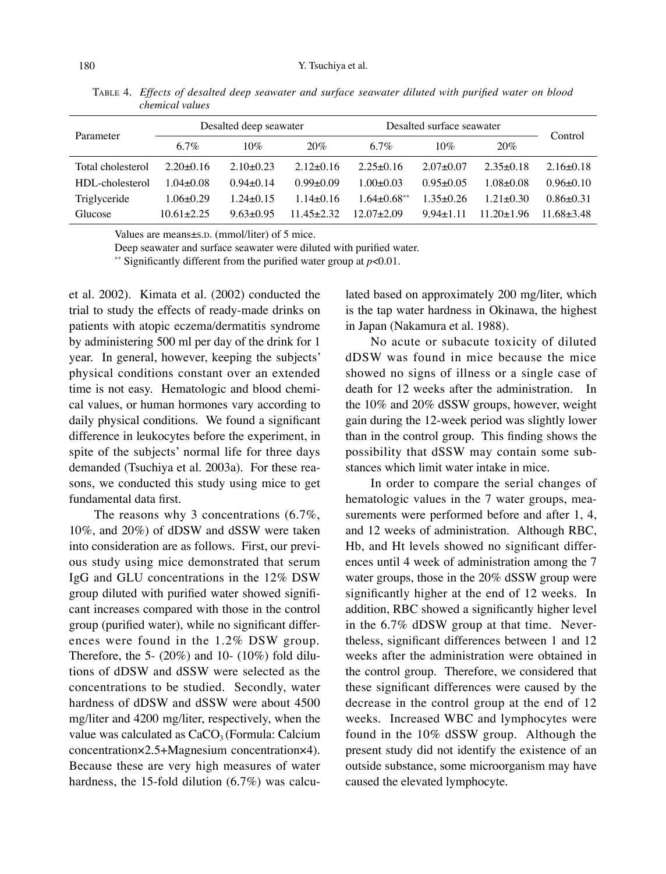| Desalted deep seawater |               |               |                 |               |               |                           |
|------------------------|---------------|---------------|-----------------|---------------|---------------|---------------------------|
| 6.7%                   | 10%           | 20%           | $6.7\%$         | $10\%$        | 20%           | Control                   |
| $2.20+0.16$            | $2.10 + 0.23$ | $2.12 + 0.16$ | $2.25 + 0.16$   | $2.07 + 0.07$ | $2.35+0.18$   | $2.16\pm0.18$             |
| $1.04 + 0.08$          | $0.94 + 0.14$ | $0.99 + 0.09$ | $1.00 \pm 0.03$ | $0.95 + 0.05$ | $1.08 + 0.08$ | $0.96 \pm 0.10$           |
| $1.06 \pm 0.29$        | $1.24 + 0.15$ | $1.14 + 0.16$ | $1.64 + 0.68**$ | $1.35 + 0.26$ | $1.21 + 0.30$ | $0.86 \pm 0.31$           |
| $10.61 + 2.25$         | $9.63 + 0.95$ | 11 45+2 32    | $12.07 + 2.09$  | $994+111$     | $11.20+1.96$  | $11.68 + 3.48$            |
|                        |               |               |                 |               |               | Desalted surface seawater |

TABLE 4. *Effects of desalted deep seawater and surface seawater diluted with purified water on blood chemical values*

Values are means±S.D. (mmol/liter) of 5 mice.

Deep seawater and surface seawater were diluted with purified water.

\*\* Significantly different from the purified water group at  $p<0.01$ .

et al. 2002). Kimata et al. (2002) conducted the trial to study the effects of ready-made drinks on patients with atopic eczema/dermatitis syndrome by administering 500 ml per day of the drink for 1 year. In general, however, keeping the subjects' physical conditions constant over an extended time is not easy. Hematologic and blood chemical values, or human hormones vary according to daily physical conditions. We found a significant difference in leukocytes before the experiment, in spite of the subjects' normal life for three days demanded (Tsuchiya et al. 2003a). For these reasons, we conducted this study using mice to get fundamental data first.

The reasons why 3 concentrations (6.7%, 10%, and 20%) of dDSW and dSSW were taken into consideration are as follows. First, our previous study using mice demonstrated that serum IgG and GLU concentrations in the 12% DSW group diluted with purified water showed significant increases compared with those in the control group (purified water), while no significant differences were found in the 1.2% DSW group. Therefore, the 5- (20%) and 10- (10%) fold dilutions of dDSW and dSSW were selected as the concentrations to be studied. Secondly, water hardness of dDSW and dSSW were about 4500 mg/liter and 4200 mg/liter, respectively, when the value was calculated as  $CaCO<sub>3</sub>$  (Formula: Calcium concentration×2.5+Magnesium concentration×4). Because these are very high measures of water hardness, the 15-fold dilution (6.7%) was calculated based on approximately 200 mg/liter, which is the tap water hardness in Okinawa, the highest in Japan (Nakamura et al. 1988).

No acute or subacute toxicity of diluted dDSW was found in mice because the mice showed no signs of illness or a single case of death for 12 weeks after the administration. In the 10% and 20% dSSW groups, however, weight gain during the 12-week period was slightly lower than in the control group. This finding shows the possibility that dSSW may contain some substances which limit water intake in mice.

In order to compare the serial changes of hematologic values in the 7 water groups, measurements were performed before and after 1, 4, and 12 weeks of administration. Although RBC, Hb, and Ht levels showed no significant differences until 4 week of administration among the 7 water groups, those in the 20% dSSW group were significantly higher at the end of 12 weeks. In addition, RBC showed a significantly higher level in the 6.7% dDSW group at that time. Nevertheless, significant differences between 1 and 12 weeks after the administration were obtained in the control group. Therefore, we considered that these significant differences were caused by the decrease in the control group at the end of 12 weeks. Increased WBC and lymphocytes were found in the 10% dSSW group. Although the present study did not identify the existence of an outside substance, some microorganism may have caused the elevated lymphocyte.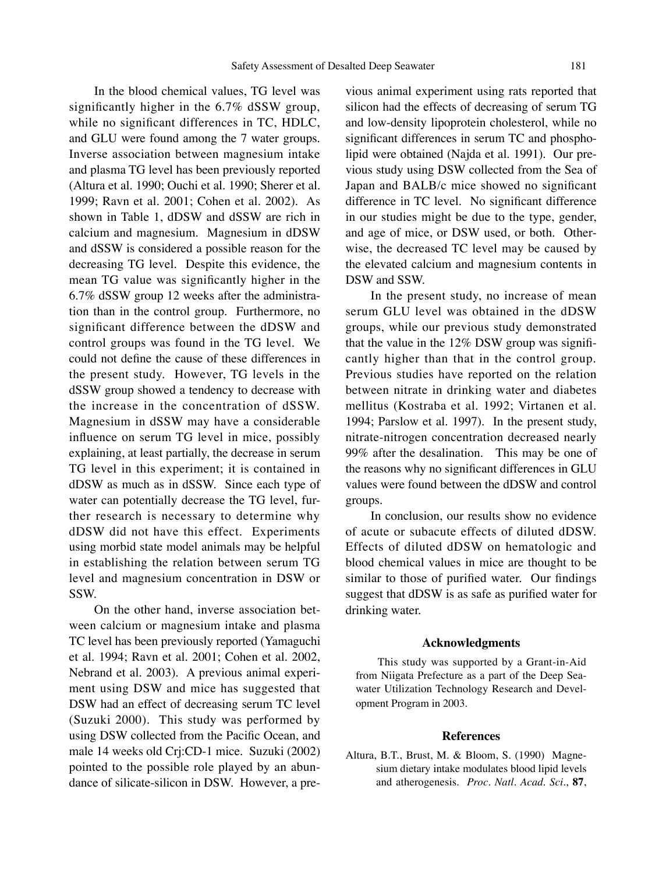In the blood chemical values, TG level was significantly higher in the 6.7% dSSW group, while no significant differences in TC, HDLC, and GLU were found among the 7 water groups. Inverse association between magnesium intake and plasma TG level has been previously reported (Altura et al. 1990; Ouchi et al. 1990; Sherer et al. 1999; Ravn et al. 2001; Cohen et al. 2002). As shown in Table 1, dDSW and dSSW are rich in calcium and magnesium. Magnesium in dDSW and dSSW is considered a possible reason for the decreasing TG level. Despite this evidence, the mean TG value was significantly higher in the 6.7% dSSW group 12 weeks after the administration than in the control group. Furthermore, no significant difference between the dDSW and control groups was found in the TG level. We could not define the cause of these differences in the present study. However, TG levels in the dSSW group showed a tendency to decrease with the increase in the concentration of dSSW. Magnesium in dSSW may have a considerable influence on serum TG level in mice, possibly explaining, at least partially, the decrease in serum TG level in this experiment; it is contained in dDSW as much as in dSSW. Since each type of water can potentially decrease the TG level, further research is necessary to determine why dDSW did not have this effect. Experiments using morbid state model animals may be helpful in establishing the relation between serum TG level and magnesium concentration in DSW or SSW.

On the other hand, inverse association between calcium or magnesium intake and plasma TC level has been previously reported (Yamaguchi et al. 1994; Ravn et al. 2001; Cohen et al. 2002, Nebrand et al. 2003). A previous animal experiment using DSW and mice has suggested that DSW had an effect of decreasing serum TC level (Suzuki 2000). This study was performed by using DSW collected from the Pacific Ocean, and male 14 weeks old Crj:CD-1 mice. Suzuki (2002) pointed to the possible role played by an abundance of silicate-silicon in DSW. However, a previous animal experiment using rats reported that silicon had the effects of decreasing of serum TG and low-density lipoprotein cholesterol, while no significant differences in serum TC and phospholipid were obtained (Najda et al. 1991). Our previous study using DSW collected from the Sea of Japan and BALB/c mice showed no significant difference in TC level. No significant difference in our studies might be due to the type, gender, and age of mice, or DSW used, or both. Otherwise, the decreased TC level may be caused by the elevated calcium and magnesium contents in DSW and SSW.

In the present study, no increase of mean serum GLU level was obtained in the dDSW groups, while our previous study demonstrated that the value in the 12% DSW group was significantly higher than that in the control group. Previous studies have reported on the relation between nitrate in drinking water and diabetes mellitus (Kostraba et al. 1992; Virtanen et al. 1994; Parslow et al. 1997). In the present study, nitrate-nitrogen concentration decreased nearly 99% after the desalination. This may be one of the reasons why no significant differences in GLU values were found between the dDSW and control groups.

In conclusion, our results show no evidence of acute or subacute effects of diluted dDSW. Effects of diluted dDSW on hematologic and blood chemical values in mice are thought to be similar to those of purified water. Our findings suggest that dDSW is as safe as purified water for drinking water.

#### **Acknowledgments**

This study was supported by a Grant-in-Aid from Niigata Prefecture as a part of the Deep Seawater Utilization Technology Research and Development Program in 2003.

#### **References**

Altura, B.T., Brust, M. & Bloom, S. (1990) Magnesium dietary intake modulates blood lipid levels and atherogenesis. *Proc. Natl. Acad. Sci*., **87**,